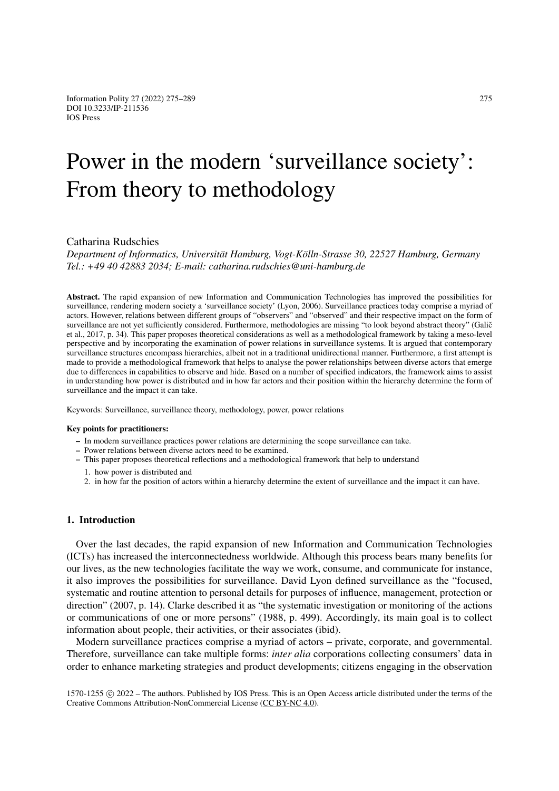# Power in the modern 'surveillance society': From theory to methodology

# Catharina Rudschies

*Department of Informatics, Universität Hamburg, Vogt-Kölln-Strasse 30, 22527 Hamburg, Germany Tel.: +49 40 42883 2034; E-mail: catharina.rudschies@uni-hamburg.de*

Abstract. The rapid expansion of new Information and Communication Technologies has improved the possibilities for surveillance, rendering modern society a 'surveillance society' (Lyon, 2006). Surveillance practices today comprise a myriad of actors. However, relations between different groups of "observers" and "observed" and their respective impact on the form of surveillance are not yet sufficiently considered. Furthermore, methodologies are missing "to look beyond abstract theory" (Galič et al., 2017, p. 34). This paper proposes theoretical considerations as well as a methodological framework by taking a meso-level perspective and by incorporating the examination of power relations in surveillance systems. It is argued that contemporary surveillance structures encompass hierarchies, albeit not in a traditional unidirectional manner. Furthermore, a first attempt is made to provide a methodological framework that helps to analyse the power relationships between diverse actors that emerge due to differences in capabilities to observe and hide. Based on a number of specified indicators, the framework aims to assist in understanding how power is distributed and in how far actors and their position within the hierarchy determine the form of surveillance and the impact it can take.

Keywords: Surveillance, surveillance theory, methodology, power, power relations

#### Key points for practitioners:

- In modern surveillance practices power relations are determining the scope surveillance can take.
- Power relations between diverse actors need to be examined.
- This paper proposes theoretical reflections and a methodological framework that help to understand
	- 1. how power is distributed and
	- 2. in how far the position of actors within a hierarchy determine the extent of surveillance and the impact it can have.

## 1. Introduction

Over the last decades, the rapid expansion of new Information and Communication Technologies (ICTs) has increased the interconnectedness worldwide. Although this process bears many benefits for our lives, as the new technologies facilitate the way we work, consume, and communicate for instance, it also improves the possibilities for surveillance. David Lyon defined surveillance as the "focused, systematic and routine attention to personal details for purposes of influence, management, protection or direction" (2007, p. 14). Clarke described it as "the systematic investigation or monitoring of the actions or communications of one or more persons" (1988, p. 499). Accordingly, its main goal is to collect information about people, their activities, or their associates (ibid).

Modern surveillance practices comprise a myriad of actors – private, corporate, and governmental. Therefore, surveillance can take multiple forms: *inter alia* corporations collecting consumers' data in order to enhance marketing strategies and product developments; citizens engaging in the observation

1570-1255 (c) 2022 – The authors. Published by IOS Press. This is an Open Access article distributed under the terms of the Creative Commons Attribution-NonCommercial License [\(CC BY-NC 4.0\)](https://creativecommons.org/licenses/by-nc/4.0/).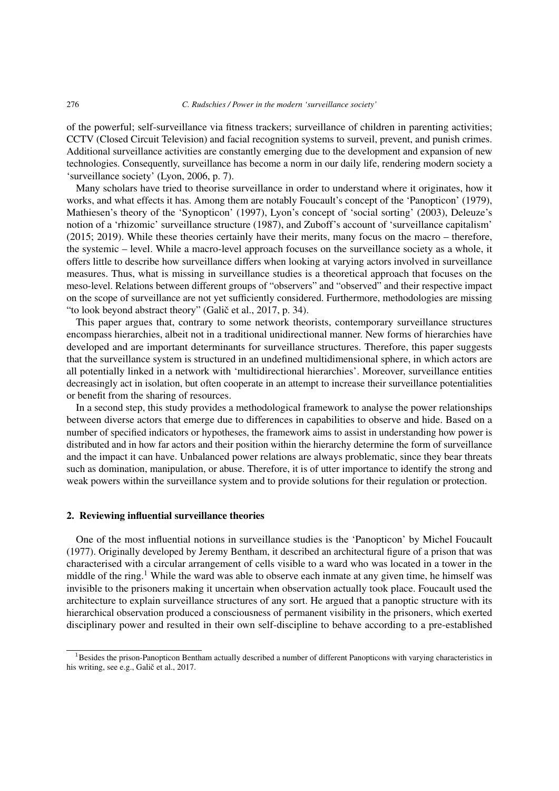of the powerful; self-surveillance via fitness trackers; surveillance of children in parenting activities; CCTV (Closed Circuit Television) and facial recognition systems to surveil, prevent, and punish crimes. Additional surveillance activities are constantly emerging due to the development and expansion of new technologies. Consequently, surveillance has become a norm in our daily life, rendering modern society a 'surveillance society' (Lyon, 2006, p. 7).

Many scholars have tried to theorise surveillance in order to understand where it originates, how it works, and what effects it has. Among them are notably Foucault's concept of the 'Panopticon' (1979), Mathiesen's theory of the 'Synopticon' (1997), Lyon's concept of 'social sorting' (2003), Deleuze's notion of a 'rhizomic' surveillance structure (1987), and Zuboff's account of 'surveillance capitalism' (2015; 2019). While these theories certainly have their merits, many focus on the macro – therefore, the systemic – level. While a macro-level approach focuses on the surveillance society as a whole, it offers little to describe how surveillance differs when looking at varying actors involved in surveillance measures. Thus, what is missing in surveillance studies is a theoretical approach that focuses on the meso-level. Relations between different groups of "observers" and "observed" and their respective impact on the scope of surveillance are not yet sufficiently considered. Furthermore, methodologies are missing "to look beyond abstract theory" (Galič et al., 2017, p. 34).

This paper argues that, contrary to some network theorists, contemporary surveillance structures encompass hierarchies, albeit not in a traditional unidirectional manner. New forms of hierarchies have developed and are important determinants for surveillance structures. Therefore, this paper suggests that the surveillance system is structured in an undefined multidimensional sphere, in which actors are all potentially linked in a network with 'multidirectional hierarchies'. Moreover, surveillance entities decreasingly act in isolation, but often cooperate in an attempt to increase their surveillance potentialities or benefit from the sharing of resources.

In a second step, this study provides a methodological framework to analyse the power relationships between diverse actors that emerge due to differences in capabilities to observe and hide. Based on a number of specified indicators or hypotheses, the framework aims to assist in understanding how power is distributed and in how far actors and their position within the hierarchy determine the form of surveillance and the impact it can have. Unbalanced power relations are always problematic, since they bear threats such as domination, manipulation, or abuse. Therefore, it is of utter importance to identify the strong and weak powers within the surveillance system and to provide solutions for their regulation or protection.

## 2. Reviewing influential surveillance theories

One of the most influential notions in surveillance studies is the 'Panopticon' by Michel Foucault (1977). Originally developed by Jeremy Bentham, it described an architectural figure of a prison that was characterised with a circular arrangement of cells visible to a ward who was located in a tower in the middle of the ring.<sup>[1](#page-1-0)</sup> While the ward was able to observe each inmate at any given time, he himself was invisible to the prisoners making it uncertain when observation actually took place. Foucault used the architecture to explain surveillance structures of any sort. He argued that a panoptic structure with its hierarchical observation produced a consciousness of permanent visibility in the prisoners, which exerted disciplinary power and resulted in their own self-discipline to behave according to a pre-established

<span id="page-1-0"></span><sup>&</sup>lt;sup>1</sup>Besides the prison-Panopticon Bentham actually described a number of different Panopticons with varying characteristics in his writing, see e.g., Galič et al., 2017.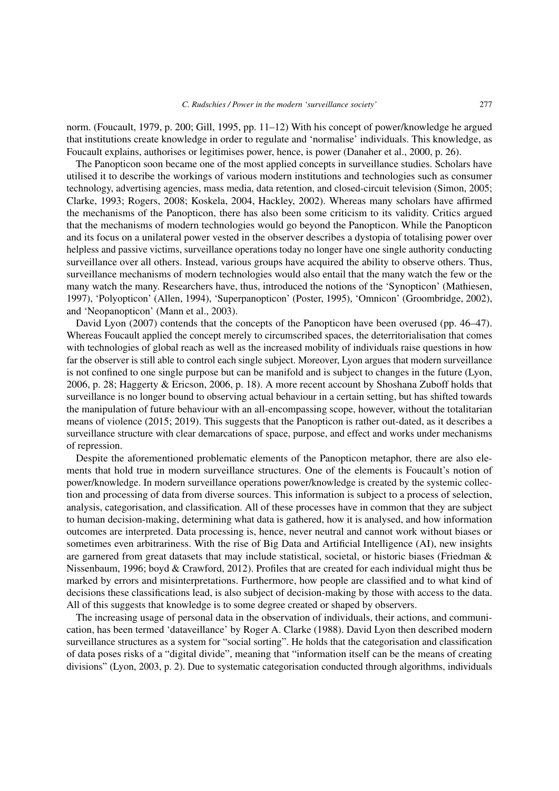norm. (Foucault, 1979, p. 200; Gill, 1995, pp. 11–12) With his concept of power/knowledge he argued that institutions create knowledge in order to regulate and 'normalise' individuals. This knowledge, as Foucault explains, authorises or legitimises power, hence, is power (Danaher et al., 2000, p. 26).

The Panopticon soon became one of the most applied concepts in surveillance studies. Scholars have utilised it to describe the workings of various modern institutions and technologies such as consumer technology, advertising agencies, mass media, data retention, and closed-circuit television (Simon, 2005; Clarke, 1993; Rogers, 2008; Koskela, 2004, Hackley, 2002). Whereas many scholars have affirmed the mechanisms of the Panopticon, there has also been some criticism to its validity. Critics argued that the mechanisms of modern technologies would go beyond the Panopticon. While the Panopticon and its focus on a unilateral power vested in the observer describes a dystopia of totalising power over helpless and passive victims, surveillance operations today no longer have one single authority conducting surveillance over all others. Instead, various groups have acquired the ability to observe others. Thus, surveillance mechanisms of modern technologies would also entail that the many watch the few or the many watch the many. Researchers have, thus, introduced the notions of the 'Synopticon' (Mathiesen, 1997), 'Polyopticon' (Allen, 1994), 'Superpanopticon' (Poster, 1995), 'Omnicon' (Groombridge, 2002), and 'Neopanopticon' (Mann et al., 2003).

David Lyon (2007) contends that the concepts of the Panopticon have been overused (pp. 46–47). Whereas Foucault applied the concept merely to circumscribed spaces, the deterritorialisation that comes with technologies of global reach as well as the increased mobility of individuals raise questions in how far the observer is still able to control each single subject. Moreover, Lyon argues that modern surveillance is not confined to one single purpose but can be manifold and is subject to changes in the future (Lyon, 2006, p. 28; Haggerty & Ericson, 2006, p. 18). A more recent account by Shoshana Zuboff holds that surveillance is no longer bound to observing actual behaviour in a certain setting, but has shifted towards the manipulation of future behaviour with an all-encompassing scope, however, without the totalitarian means of violence (2015; 2019). This suggests that the Panopticon is rather out-dated, as it describes a surveillance structure with clear demarcations of space, purpose, and effect and works under mechanisms of repression.

Despite the aforementioned problematic elements of the Panopticon metaphor, there are also elements that hold true in modern surveillance structures. One of the elements is Foucault's notion of power/knowledge. In modern surveillance operations power/knowledge is created by the systemic collection and processing of data from diverse sources. This information is subject to a process of selection, analysis, categorisation, and classification. All of these processes have in common that they are subject to human decision-making, determining what data is gathered, how it is analysed, and how information outcomes are interpreted. Data processing is, hence, never neutral and cannot work without biases or sometimes even arbitrariness. With the rise of Big Data and Artificial Intelligence (AI), new insights are garnered from great datasets that may include statistical, societal, or historic biases (Friedman & Nissenbaum, 1996; boyd & Crawford, 2012). Profiles that are created for each individual might thus be marked by errors and misinterpretations. Furthermore, how people are classified and to what kind of decisions these classifications lead, is also subject of decision-making by those with access to the data. All of this suggests that knowledge is to some degree created or shaped by observers.

The increasing usage of personal data in the observation of individuals, their actions, and communication, has been termed 'dataveillance' by Roger A. Clarke (1988). David Lyon then described modern surveillance structures as a system for "social sorting". He holds that the categorisation and classification of data poses risks of a "digital divide", meaning that "information itself can be the means of creating divisions" (Lyon, 2003, p. 2). Due to systematic categorisation conducted through algorithms, individuals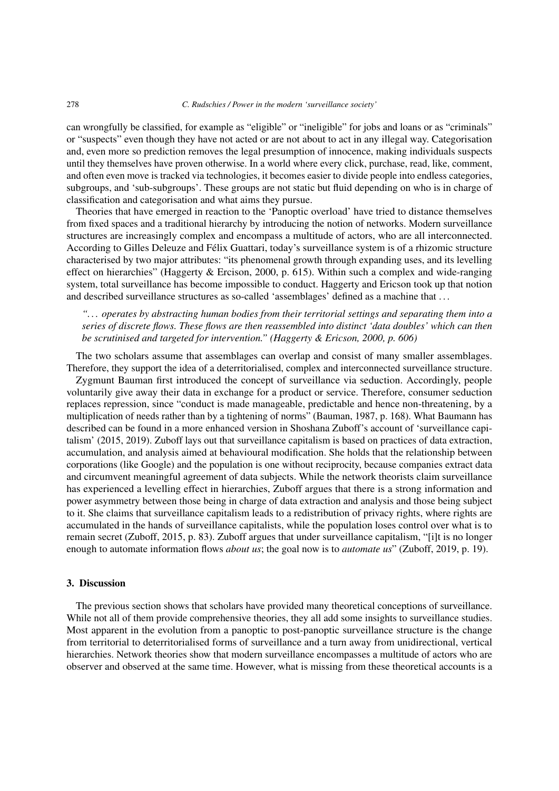can wrongfully be classified, for example as "eligible" or "ineligible" for jobs and loans or as "criminals" or "suspects" even though they have not acted or are not about to act in any illegal way. Categorisation and, even more so prediction removes the legal presumption of innocence, making individuals suspects until they themselves have proven otherwise. In a world where every click, purchase, read, like, comment, and often even move is tracked via technologies, it becomes easier to divide people into endless categories, subgroups, and 'sub-subgroups'. These groups are not static but fluid depending on who is in charge of classification and categorisation and what aims they pursue.

Theories that have emerged in reaction to the 'Panoptic overload' have tried to distance themselves from fixed spaces and a traditional hierarchy by introducing the notion of networks. Modern surveillance structures are increasingly complex and encompass a multitude of actors, who are all interconnected. According to Gilles Deleuze and Félix Guattari, today's surveillance system is of a rhizomic structure characterised by two major attributes: "its phenomenal growth through expanding uses, and its levelling effect on hierarchies" (Haggerty & Ercison, 2000, p. 615). Within such a complex and wide-ranging system, total surveillance has become impossible to conduct. Haggerty and Ericson took up that notion and described surveillance structures as so-called 'assemblages' defined as a machine that . . .

*". . . operates by abstracting human bodies from their territorial settings and separating them into a series of discrete flows. These flows are then reassembled into distinct 'data doubles' which can then be scrutinised and targeted for intervention." (Haggerty & Ericson, 2000, p. 606)*

The two scholars assume that assemblages can overlap and consist of many smaller assemblages. Therefore, they support the idea of a deterritorialised, complex and interconnected surveillance structure.

Zygmunt Bauman first introduced the concept of surveillance via seduction. Accordingly, people voluntarily give away their data in exchange for a product or service. Therefore, consumer seduction replaces repression, since "conduct is made manageable, predictable and hence non-threatening, by a multiplication of needs rather than by a tightening of norms" (Bauman, 1987, p. 168). What Baumann has described can be found in a more enhanced version in Shoshana Zuboff's account of 'surveillance capitalism' (2015, 2019). Zuboff lays out that surveillance capitalism is based on practices of data extraction, accumulation, and analysis aimed at behavioural modification. She holds that the relationship between corporations (like Google) and the population is one without reciprocity, because companies extract data and circumvent meaningful agreement of data subjects. While the network theorists claim surveillance has experienced a levelling effect in hierarchies, Zuboff argues that there is a strong information and power asymmetry between those being in charge of data extraction and analysis and those being subject to it. She claims that surveillance capitalism leads to a redistribution of privacy rights, where rights are accumulated in the hands of surveillance capitalists, while the population loses control over what is to remain secret (Zuboff, 2015, p. 83). Zuboff argues that under surveillance capitalism, "[i]t is no longer enough to automate information flows *about us*; the goal now is to *automate us*" (Zuboff, 2019, p. 19).

# 3. Discussion

The previous section shows that scholars have provided many theoretical conceptions of surveillance. While not all of them provide comprehensive theories, they all add some insights to surveillance studies. Most apparent in the evolution from a panoptic to post-panoptic surveillance structure is the change from territorial to deterritorialised forms of surveillance and a turn away from unidirectional, vertical hierarchies. Network theories show that modern surveillance encompasses a multitude of actors who are observer and observed at the same time. However, what is missing from these theoretical accounts is a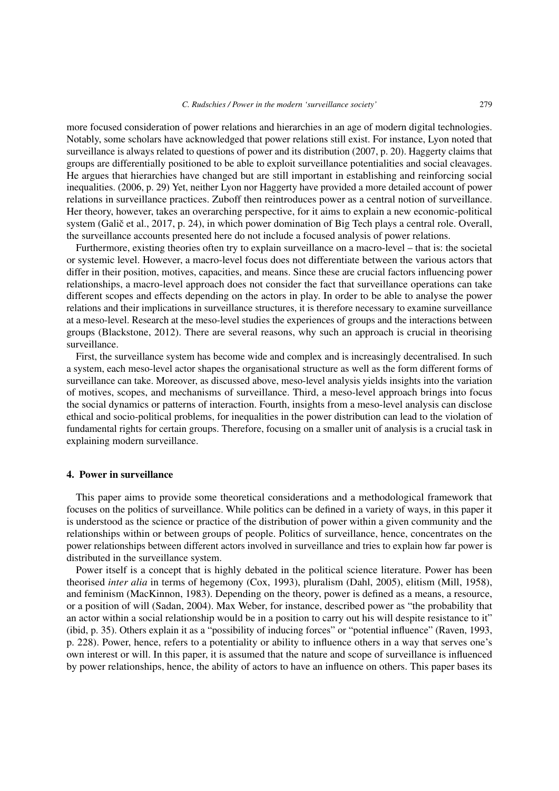more focused consideration of power relations and hierarchies in an age of modern digital technologies. Notably, some scholars have acknowledged that power relations still exist. For instance, Lyon noted that surveillance is always related to questions of power and its distribution (2007, p. 20). Haggerty claims that groups are differentially positioned to be able to exploit surveillance potentialities and social cleavages. He argues that hierarchies have changed but are still important in establishing and reinforcing social inequalities. (2006, p. 29) Yet, neither Lyon nor Haggerty have provided a more detailed account of power relations in surveillance practices. Zuboff then reintroduces power as a central notion of surveillance. Her theory, however, takes an overarching perspective, for it aims to explain a new economic-political system (Galič et al., 2017, p. 24), in which power domination of Big Tech plays a central role. Overall, the surveillance accounts presented here do not include a focused analysis of power relations.

Furthermore, existing theories often try to explain surveillance on a macro-level – that is: the societal or systemic level. However, a macro-level focus does not differentiate between the various actors that differ in their position, motives, capacities, and means. Since these are crucial factors influencing power relationships, a macro-level approach does not consider the fact that surveillance operations can take different scopes and effects depending on the actors in play. In order to be able to analyse the power relations and their implications in surveillance structures, it is therefore necessary to examine surveillance at a meso-level. Research at the meso-level studies the experiences of groups and the interactions between groups (Blackstone, 2012). There are several reasons, why such an approach is crucial in theorising surveillance.

First, the surveillance system has become wide and complex and is increasingly decentralised. In such a system, each meso-level actor shapes the organisational structure as well as the form different forms of surveillance can take. Moreover, as discussed above, meso-level analysis yields insights into the variation of motives, scopes, and mechanisms of surveillance. Third, a meso-level approach brings into focus the social dynamics or patterns of interaction. Fourth, insights from a meso-level analysis can disclose ethical and socio-political problems, for inequalities in the power distribution can lead to the violation of fundamental rights for certain groups. Therefore, focusing on a smaller unit of analysis is a crucial task in explaining modern surveillance.

## 4. Power in surveillance

This paper aims to provide some theoretical considerations and a methodological framework that focuses on the politics of surveillance. While politics can be defined in a variety of ways, in this paper it is understood as the science or practice of the distribution of power within a given community and the relationships within or between groups of people. Politics of surveillance, hence, concentrates on the power relationships between different actors involved in surveillance and tries to explain how far power is distributed in the surveillance system.

Power itself is a concept that is highly debated in the political science literature. Power has been theorised *inter alia* in terms of hegemony (Cox, 1993), pluralism (Dahl, 2005), elitism (Mill, 1958), and feminism (MacKinnon, 1983). Depending on the theory, power is defined as a means, a resource, or a position of will (Sadan, 2004). Max Weber, for instance, described power as "the probability that an actor within a social relationship would be in a position to carry out his will despite resistance to it" (ibid, p. 35). Others explain it as a "possibility of inducing forces" or "potential influence" (Raven, 1993, p. 228). Power, hence, refers to a potentiality or ability to influence others in a way that serves one's own interest or will. In this paper, it is assumed that the nature and scope of surveillance is influenced by power relationships, hence, the ability of actors to have an influence on others. This paper bases its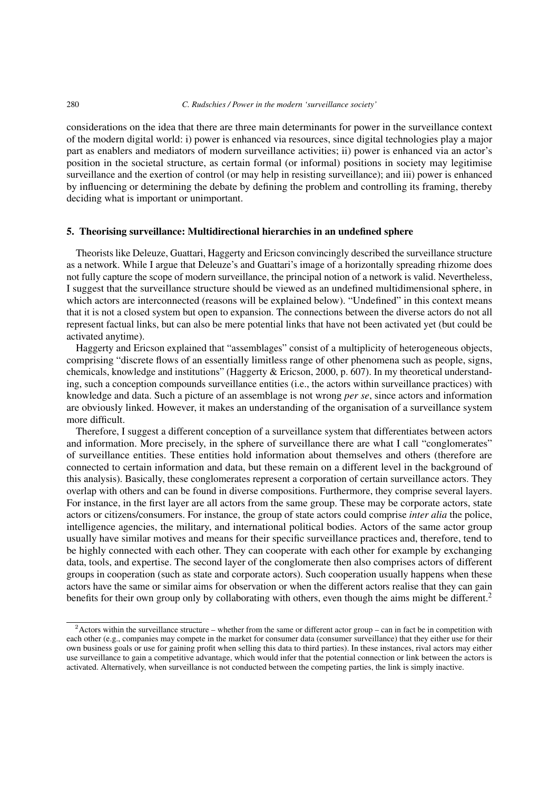#### 280 *C. Rudschies / Power in the modern 'surveillance society'*

considerations on the idea that there are three main determinants for power in the surveillance context of the modern digital world: i) power is enhanced via resources, since digital technologies play a major part as enablers and mediators of modern surveillance activities; ii) power is enhanced via an actor's position in the societal structure, as certain formal (or informal) positions in society may legitimise surveillance and the exertion of control (or may help in resisting surveillance); and iii) power is enhanced by influencing or determining the debate by defining the problem and controlling its framing, thereby deciding what is important or unimportant.

## 5. Theorising surveillance: Multidirectional hierarchies in an undefined sphere

Theorists like Deleuze, Guattari, Haggerty and Ericson convincingly described the surveillance structure as a network. While I argue that Deleuze's and Guattari's image of a horizontally spreading rhizome does not fully capture the scope of modern surveillance, the principal notion of a network is valid. Nevertheless, I suggest that the surveillance structure should be viewed as an undefined multidimensional sphere, in which actors are interconnected (reasons will be explained below). "Undefined" in this context means that it is not a closed system but open to expansion. The connections between the diverse actors do not all represent factual links, but can also be mere potential links that have not been activated yet (but could be activated anytime).

Haggerty and Ericson explained that "assemblages" consist of a multiplicity of heterogeneous objects, comprising "discrete flows of an essentially limitless range of other phenomena such as people, signs, chemicals, knowledge and institutions" (Haggerty & Ericson, 2000, p. 607). In my theoretical understanding, such a conception compounds surveillance entities (i.e., the actors within surveillance practices) with knowledge and data. Such a picture of an assemblage is not wrong *per se*, since actors and information are obviously linked. However, it makes an understanding of the organisation of a surveillance system more difficult.

Therefore, I suggest a different conception of a surveillance system that differentiates between actors and information. More precisely, in the sphere of surveillance there are what I call "conglomerates" of surveillance entities. These entities hold information about themselves and others (therefore are connected to certain information and data, but these remain on a different level in the background of this analysis). Basically, these conglomerates represent a corporation of certain surveillance actors. They overlap with others and can be found in diverse compositions. Furthermore, they comprise several layers. For instance, in the first layer are all actors from the same group. These may be corporate actors, state actors or citizens/consumers. For instance, the group of state actors could comprise *inter alia* the police, intelligence agencies, the military, and international political bodies. Actors of the same actor group usually have similar motives and means for their specific surveillance practices and, therefore, tend to be highly connected with each other. They can cooperate with each other for example by exchanging data, tools, and expertise. The second layer of the conglomerate then also comprises actors of different groups in cooperation (such as state and corporate actors). Such cooperation usually happens when these actors have the same or similar aims for observation or when the different actors realise that they can gain benefits for their own group only by collaborating with others, even though the aims might be different.<sup>[2](#page-5-0)</sup>

<span id="page-5-0"></span> $2$ Actors within the surveillance structure – whether from the same or different actor group – can in fact be in competition with each other (e.g., companies may compete in the market for consumer data (consumer surveillance) that they either use for their own business goals or use for gaining profit when selling this data to third parties). In these instances, rival actors may either use surveillance to gain a competitive advantage, which would infer that the potential connection or link between the actors is activated. Alternatively, when surveillance is not conducted between the competing parties, the link is simply inactive.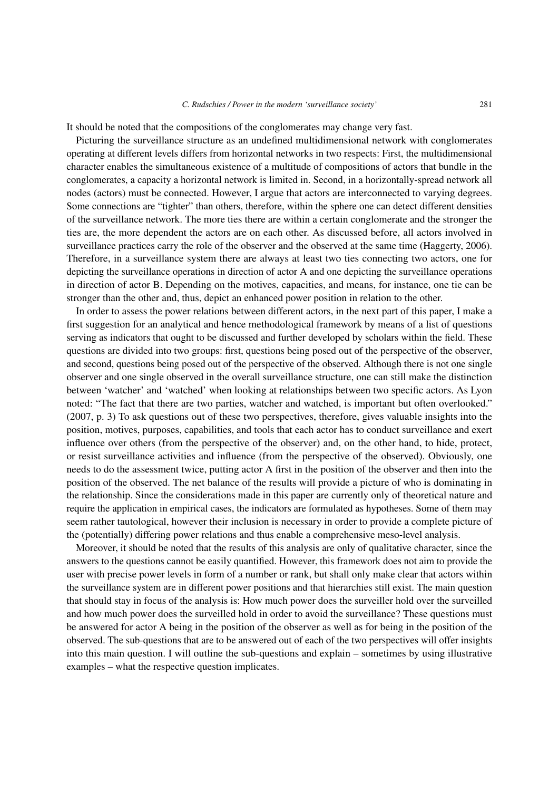It should be noted that the compositions of the conglomerates may change very fast.

Picturing the surveillance structure as an undefined multidimensional network with conglomerates operating at different levels differs from horizontal networks in two respects: First, the multidimensional character enables the simultaneous existence of a multitude of compositions of actors that bundle in the conglomerates, a capacity a horizontal network is limited in. Second, in a horizontally-spread network all nodes (actors) must be connected. However, I argue that actors are interconnected to varying degrees. Some connections are "tighter" than others, therefore, within the sphere one can detect different densities of the surveillance network. The more ties there are within a certain conglomerate and the stronger the ties are, the more dependent the actors are on each other. As discussed before, all actors involved in surveillance practices carry the role of the observer and the observed at the same time (Haggerty, 2006). Therefore, in a surveillance system there are always at least two ties connecting two actors, one for depicting the surveillance operations in direction of actor A and one depicting the surveillance operations in direction of actor B. Depending on the motives, capacities, and means, for instance, one tie can be stronger than the other and, thus, depict an enhanced power position in relation to the other.

In order to assess the power relations between different actors, in the next part of this paper, I make a first suggestion for an analytical and hence methodological framework by means of a list of questions serving as indicators that ought to be discussed and further developed by scholars within the field. These questions are divided into two groups: first, questions being posed out of the perspective of the observer, and second, questions being posed out of the perspective of the observed. Although there is not one single observer and one single observed in the overall surveillance structure, one can still make the distinction between 'watcher' and 'watched' when looking at relationships between two specific actors. As Lyon noted: "The fact that there are two parties, watcher and watched, is important but often overlooked." (2007, p. 3) To ask questions out of these two perspectives, therefore, gives valuable insights into the position, motives, purposes, capabilities, and tools that each actor has to conduct surveillance and exert influence over others (from the perspective of the observer) and, on the other hand, to hide, protect, or resist surveillance activities and influence (from the perspective of the observed). Obviously, one needs to do the assessment twice, putting actor A first in the position of the observer and then into the position of the observed. The net balance of the results will provide a picture of who is dominating in the relationship. Since the considerations made in this paper are currently only of theoretical nature and require the application in empirical cases, the indicators are formulated as hypotheses. Some of them may seem rather tautological, however their inclusion is necessary in order to provide a complete picture of the (potentially) differing power relations and thus enable a comprehensive meso-level analysis.

Moreover, it should be noted that the results of this analysis are only of qualitative character, since the answers to the questions cannot be easily quantified. However, this framework does not aim to provide the user with precise power levels in form of a number or rank, but shall only make clear that actors within the surveillance system are in different power positions and that hierarchies still exist. The main question that should stay in focus of the analysis is: How much power does the surveiller hold over the surveilled and how much power does the surveilled hold in order to avoid the surveillance? These questions must be answered for actor A being in the position of the observer as well as for being in the position of the observed. The sub-questions that are to be answered out of each of the two perspectives will offer insights into this main question. I will outline the sub-questions and explain – sometimes by using illustrative examples – what the respective question implicates.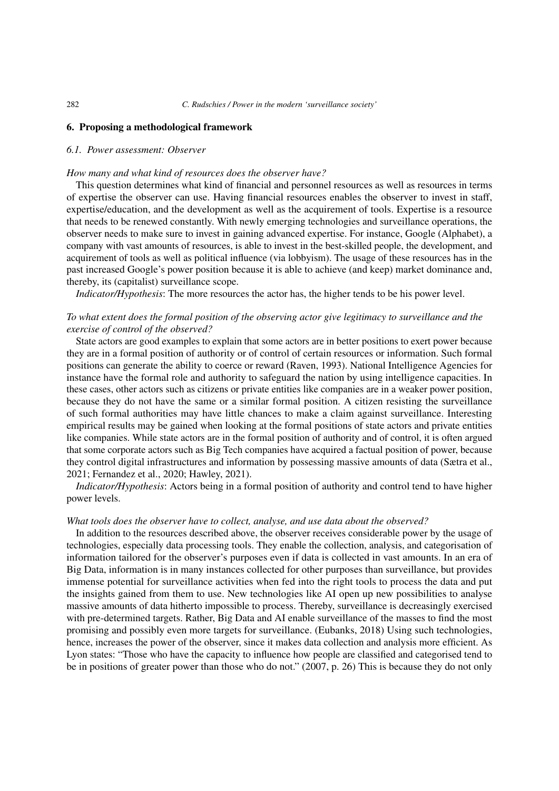## 6. Proposing a methodological framework

## *6.1. Power assessment: Observer*

### *How many and what kind of resources does the observer have?*

This question determines what kind of financial and personnel resources as well as resources in terms of expertise the observer can use. Having financial resources enables the observer to invest in staff, expertise/education, and the development as well as the acquirement of tools. Expertise is a resource that needs to be renewed constantly. With newly emerging technologies and surveillance operations, the observer needs to make sure to invest in gaining advanced expertise. For instance, Google (Alphabet), a company with vast amounts of resources, is able to invest in the best-skilled people, the development, and acquirement of tools as well as political influence (via lobbyism). The usage of these resources has in the past increased Google's power position because it is able to achieve (and keep) market dominance and, thereby, its (capitalist) surveillance scope.

*Indicator/Hypothesis*: The more resources the actor has, the higher tends to be his power level.

# *To what extent does the formal position of the observing actor give legitimacy to surveillance and the exercise of control of the observed?*

State actors are good examples to explain that some actors are in better positions to exert power because they are in a formal position of authority or of control of certain resources or information. Such formal positions can generate the ability to coerce or reward (Raven, 1993). National Intelligence Agencies for instance have the formal role and authority to safeguard the nation by using intelligence capacities. In these cases, other actors such as citizens or private entities like companies are in a weaker power position, because they do not have the same or a similar formal position. A citizen resisting the surveillance of such formal authorities may have little chances to make a claim against surveillance. Interesting empirical results may be gained when looking at the formal positions of state actors and private entities like companies. While state actors are in the formal position of authority and of control, it is often argued that some corporate actors such as Big Tech companies have acquired a factual position of power, because they control digital infrastructures and information by possessing massive amounts of data (Sætra et al., 2021; Fernandez et al., 2020; Hawley, 2021).

*Indicator/Hypothesis*: Actors being in a formal position of authority and control tend to have higher power levels.

#### *What tools does the observer have to collect, analyse, and use data about the observed?*

In addition to the resources described above, the observer receives considerable power by the usage of technologies, especially data processing tools. They enable the collection, analysis, and categorisation of information tailored for the observer's purposes even if data is collected in vast amounts. In an era of Big Data, information is in many instances collected for other purposes than surveillance, but provides immense potential for surveillance activities when fed into the right tools to process the data and put the insights gained from them to use. New technologies like AI open up new possibilities to analyse massive amounts of data hitherto impossible to process. Thereby, surveillance is decreasingly exercised with pre-determined targets. Rather, Big Data and AI enable surveillance of the masses to find the most promising and possibly even more targets for surveillance. (Eubanks, 2018) Using such technologies, hence, increases the power of the observer, since it makes data collection and analysis more efficient. As Lyon states: "Those who have the capacity to influence how people are classified and categorised tend to be in positions of greater power than those who do not." (2007, p. 26) This is because they do not only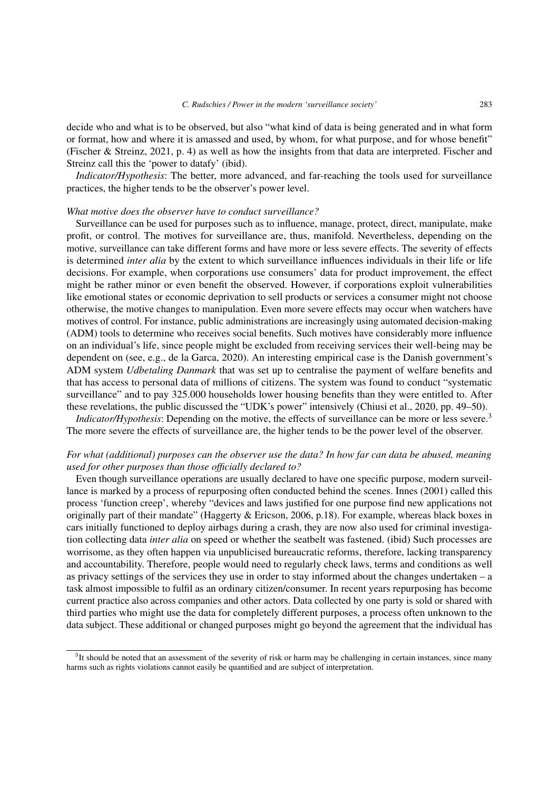decide who and what is to be observed, but also "what kind of data is being generated and in what form or format, how and where it is amassed and used, by whom, for what purpose, and for whose benefit" (Fischer & Streinz, 2021, p. 4) as well as how the insights from that data are interpreted. Fischer and Streinz call this the 'power to datafy' (ibid).

*Indicator/Hypothesis*: The better, more advanced, and far-reaching the tools used for surveillance practices, the higher tends to be the observer's power level.

## *What motive does the observer have to conduct surveillance?*

Surveillance can be used for purposes such as to influence, manage, protect, direct, manipulate, make profit, or control. The motives for surveillance are, thus, manifold. Nevertheless, depending on the motive, surveillance can take different forms and have more or less severe effects. The severity of effects is determined *inter alia* by the extent to which surveillance influences individuals in their life or life decisions. For example, when corporations use consumers' data for product improvement, the effect might be rather minor or even benefit the observed. However, if corporations exploit vulnerabilities like emotional states or economic deprivation to sell products or services a consumer might not choose otherwise, the motive changes to manipulation. Even more severe effects may occur when watchers have motives of control. For instance, public administrations are increasingly using automated decision-making (ADM) tools to determine who receives social benefits. Such motives have considerably more influence on an individual's life, since people might be excluded from receiving services their well-being may be dependent on (see, e.g., de la Garca, 2020). An interesting empirical case is the Danish government's ADM system *Udbetaling Danmark* that was set up to centralise the payment of welfare benefits and that has access to personal data of millions of citizens. The system was found to conduct "systematic surveillance" and to pay 325.000 households lower housing benefits than they were entitled to. After these revelations, the public discussed the "UDK's power" intensively (Chiusi et al., 2020, pp. 49–50).

*Indicator/Hypothesis*: Depending on the motive, the effects of surveillance can be more or less severe.<sup>[3](#page-8-0)</sup> The more severe the effects of surveillance are, the higher tends to be the power level of the observer.

# *For what (additional) purposes can the observer use the data? In how far can data be abused, meaning used for other purposes than those officially declared to?*

Even though surveillance operations are usually declared to have one specific purpose, modern surveillance is marked by a process of repurposing often conducted behind the scenes. Innes (2001) called this process 'function creep', whereby "devices and laws justified for one purpose find new applications not originally part of their mandate" (Haggerty & Ericson, 2006, p.18). For example, whereas black boxes in cars initially functioned to deploy airbags during a crash, they are now also used for criminal investigation collecting data *inter alia* on speed or whether the seatbelt was fastened. (ibid) Such processes are worrisome, as they often happen via unpublicised bureaucratic reforms, therefore, lacking transparency and accountability. Therefore, people would need to regularly check laws, terms and conditions as well as privacy settings of the services they use in order to stay informed about the changes undertaken – a task almost impossible to fulfil as an ordinary citizen/consumer. In recent years repurposing has become current practice also across companies and other actors. Data collected by one party is sold or shared with third parties who might use the data for completely different purposes, a process often unknown to the data subject. These additional or changed purposes might go beyond the agreement that the individual has

<span id="page-8-0"></span> $3$ It should be noted that an assessment of the severity of risk or harm may be challenging in certain instances, since many harms such as rights violations cannot easily be quantified and are subject of interpretation.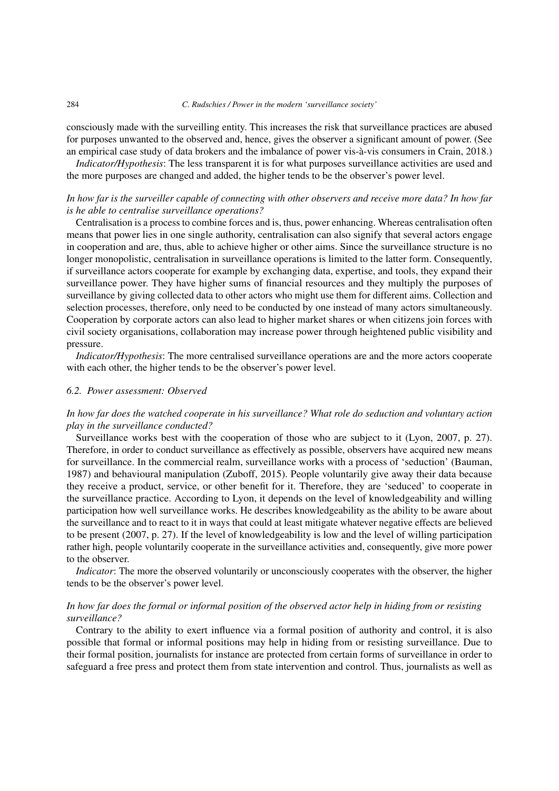#### 284 *C. Rudschies / Power in the modern 'surveillance society'*

consciously made with the surveilling entity. This increases the risk that surveillance practices are abused for purposes unwanted to the observed and, hence, gives the observer a significant amount of power. (See an empirical case study of data brokers and the imbalance of power vis-à-vis consumers in Crain, 2018.)

*Indicator/Hypothesis*: The less transparent it is for what purposes surveillance activities are used and the more purposes are changed and added, the higher tends to be the observer's power level.

# *In how far is the surveiller capable of connecting with other observers and receive more data? In how far is he able to centralise surveillance operations?*

Centralisation is a process to combine forces and is, thus, power enhancing. Whereas centralisation often means that power lies in one single authority, centralisation can also signify that several actors engage in cooperation and are, thus, able to achieve higher or other aims. Since the surveillance structure is no longer monopolistic, centralisation in surveillance operations is limited to the latter form. Consequently, if surveillance actors cooperate for example by exchanging data, expertise, and tools, they expand their surveillance power. They have higher sums of financial resources and they multiply the purposes of surveillance by giving collected data to other actors who might use them for different aims. Collection and selection processes, therefore, only need to be conducted by one instead of many actors simultaneously. Cooperation by corporate actors can also lead to higher market shares or when citizens join forces with civil society organisations, collaboration may increase power through heightened public visibility and pressure.

*Indicator/Hypothesis*: The more centralised surveillance operations are and the more actors cooperate with each other, the higher tends to be the observer's power level.

# *6.2. Power assessment: Observed*

# *In how far does the watched cooperate in his surveillance? What role do seduction and voluntary action play in the surveillance conducted?*

Surveillance works best with the cooperation of those who are subject to it (Lyon, 2007, p. 27). Therefore, in order to conduct surveillance as effectively as possible, observers have acquired new means for surveillance. In the commercial realm, surveillance works with a process of 'seduction' (Bauman, 1987) and behavioural manipulation (Zuboff, 2015). People voluntarily give away their data because they receive a product, service, or other benefit for it. Therefore, they are 'seduced' to cooperate in the surveillance practice. According to Lyon, it depends on the level of knowledgeability and willing participation how well surveillance works. He describes knowledgeability as the ability to be aware about the surveillance and to react to it in ways that could at least mitigate whatever negative effects are believed to be present (2007, p. 27). If the level of knowledgeability is low and the level of willing participation rather high, people voluntarily cooperate in the surveillance activities and, consequently, give more power to the observer.

*Indicator*: The more the observed voluntarily or unconsciously cooperates with the observer, the higher tends to be the observer's power level.

# *In how far does the formal or informal position of the observed actor help in hiding from or resisting surveillance?*

Contrary to the ability to exert influence via a formal position of authority and control, it is also possible that formal or informal positions may help in hiding from or resisting surveillance. Due to their formal position, journalists for instance are protected from certain forms of surveillance in order to safeguard a free press and protect them from state intervention and control. Thus, journalists as well as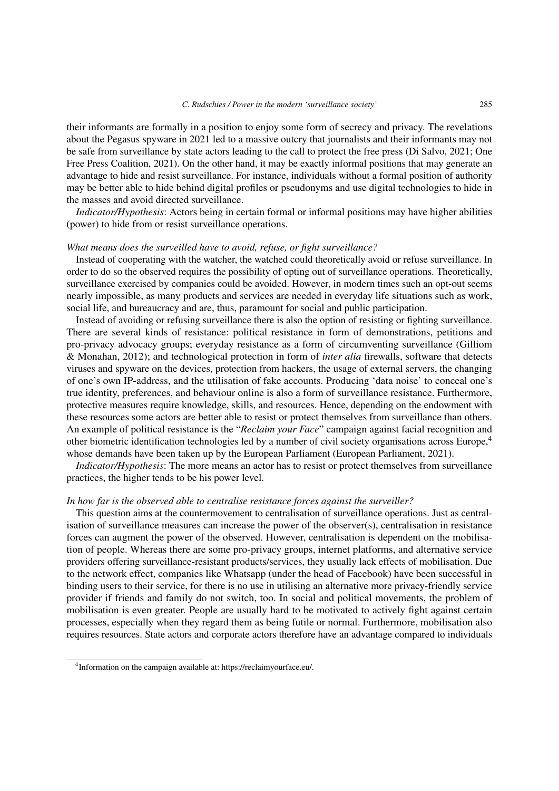their informants are formally in a position to enjoy some form of secrecy and privacy. The revelations about the Pegasus spyware in 2021 led to a massive outcry that journalists and their informants may not be safe from surveillance by state actors leading to the call to protect the free press (Di Salvo, 2021; One Free Press Coalition, 2021). On the other hand, it may be exactly informal positions that may generate an advantage to hide and resist surveillance. For instance, individuals without a formal position of authority may be better able to hide behind digital profiles or pseudonyms and use digital technologies to hide in the masses and avoid directed surveillance.

*Indicator/Hypothesis*: Actors being in certain formal or informal positions may have higher abilities (power) to hide from or resist surveillance operations.

#### *What means does the surveilled have to avoid, refuse, or fight surveillance?*

Instead of cooperating with the watcher, the watched could theoretically avoid or refuse surveillance. In order to do so the observed requires the possibility of opting out of surveillance operations. Theoretically, surveillance exercised by companies could be avoided. However, in modern times such an opt-out seems nearly impossible, as many products and services are needed in everyday life situations such as work, social life, and bureaucracy and are, thus, paramount for social and public participation.

Instead of avoiding or refusing surveillance there is also the option of resisting or fighting surveillance. There are several kinds of resistance: political resistance in form of demonstrations, petitions and pro-privacy advocacy groups; everyday resistance as a form of circumventing surveillance (Gilliom & Monahan, 2012); and technological protection in form of *inter alia* firewalls, software that detects viruses and spyware on the devices, protection from hackers, the usage of external servers, the changing of one's own IP-address, and the utilisation of fake accounts. Producing 'data noise' to conceal one's true identity, preferences, and behaviour online is also a form of surveillance resistance. Furthermore, protective measures require knowledge, skills, and resources. Hence, depending on the endowment with these resources some actors are better able to resist or protect themselves from surveillance than others. An example of political resistance is the "*Reclaim your Face*" campaign against facial recognition and other biometric identification technologies led by a number of civil society organisations across Europe,[4](#page-10-0) whose demands have been taken up by the European Parliament (European Parliament, 2021).

*Indicator/Hypothesis*: The more means an actor has to resist or protect themselves from surveillance practices, the higher tends to be his power level.

## *In how far is the observed able to centralise resistance forces against the surveiller?*

This question aims at the countermovement to centralisation of surveillance operations. Just as centralisation of surveillance measures can increase the power of the observer(s), centralisation in resistance forces can augment the power of the observed. However, centralisation is dependent on the mobilisation of people. Whereas there are some pro-privacy groups, internet platforms, and alternative service providers offering surveillance-resistant products/services, they usually lack effects of mobilisation. Due to the network effect, companies like Whatsapp (under the head of Facebook) have been successful in binding users to their service, for there is no use in utilising an alternative more privacy-friendly service provider if friends and family do not switch, too. In social and political movements, the problem of mobilisation is even greater. People are usually hard to be motivated to actively fight against certain processes, especially when they regard them as being futile or normal. Furthermore, mobilisation also requires resources. State actors and corporate actors therefore have an advantage compared to individuals

<span id="page-10-0"></span><sup>&</sup>lt;sup>4</sup>Information on the campaign available at: https://reclaimyourface.eu/.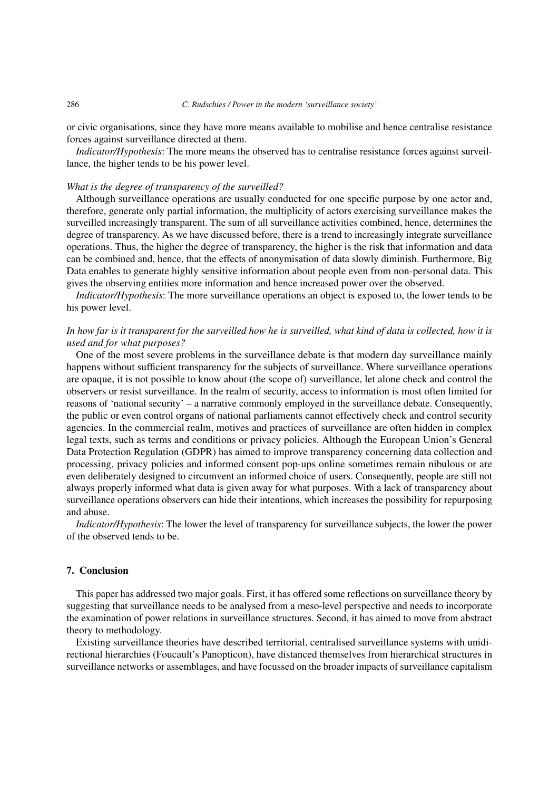#### 286 *C. Rudschies / Power in the modern 'surveillance society'*

or civic organisations, since they have more means available to mobilise and hence centralise resistance forces against surveillance directed at them.

*Indicator/Hypothesis*: The more means the observed has to centralise resistance forces against surveillance, the higher tends to be his power level.

#### *What is the degree of transparency of the surveilled?*

Although surveillance operations are usually conducted for one specific purpose by one actor and, therefore, generate only partial information, the multiplicity of actors exercising surveillance makes the surveilled increasingly transparent. The sum of all surveillance activities combined, hence, determines the degree of transparency. As we have discussed before, there is a trend to increasingly integrate surveillance operations. Thus, the higher the degree of transparency, the higher is the risk that information and data can be combined and, hence, that the effects of anonymisation of data slowly diminish. Furthermore, Big Data enables to generate highly sensitive information about people even from non-personal data. This gives the observing entities more information and hence increased power over the observed.

*Indicator/Hypothesis*: The more surveillance operations an object is exposed to, the lower tends to be his power level.

# *In how far is it transparent for the surveilled how he is surveilled, what kind of data is collected, how it is used and for what purposes?*

One of the most severe problems in the surveillance debate is that modern day surveillance mainly happens without sufficient transparency for the subjects of surveillance. Where surveillance operations are opaque, it is not possible to know about (the scope of) surveillance, let alone check and control the observers or resist surveillance. In the realm of security, access to information is most often limited for reasons of 'national security' – a narrative commonly employed in the surveillance debate. Consequently, the public or even control organs of national parliaments cannot effectively check and control security agencies. In the commercial realm, motives and practices of surveillance are often hidden in complex legal texts, such as terms and conditions or privacy policies. Although the European Union's General Data Protection Regulation (GDPR) has aimed to improve transparency concerning data collection and processing, privacy policies and informed consent pop-ups online sometimes remain nibulous or are even deliberately designed to circumvent an informed choice of users. Consequently, people are still not always properly informed what data is given away for what purposes. With a lack of transparency about surveillance operations observers can hide their intentions, which increases the possibility for repurposing and abuse.

*Indicator/Hypothesis*: The lower the level of transparency for surveillance subjects, the lower the power of the observed tends to be.

# 7. Conclusion

This paper has addressed two major goals. First, it has offered some reflections on surveillance theory by suggesting that surveillance needs to be analysed from a meso-level perspective and needs to incorporate the examination of power relations in surveillance structures. Second, it has aimed to move from abstract theory to methodology.

Existing surveillance theories have described territorial, centralised surveillance systems with unidirectional hierarchies (Foucault's Panopticon), have distanced themselves from hierarchical structures in surveillance networks or assemblages, and have focussed on the broader impacts of surveillance capitalism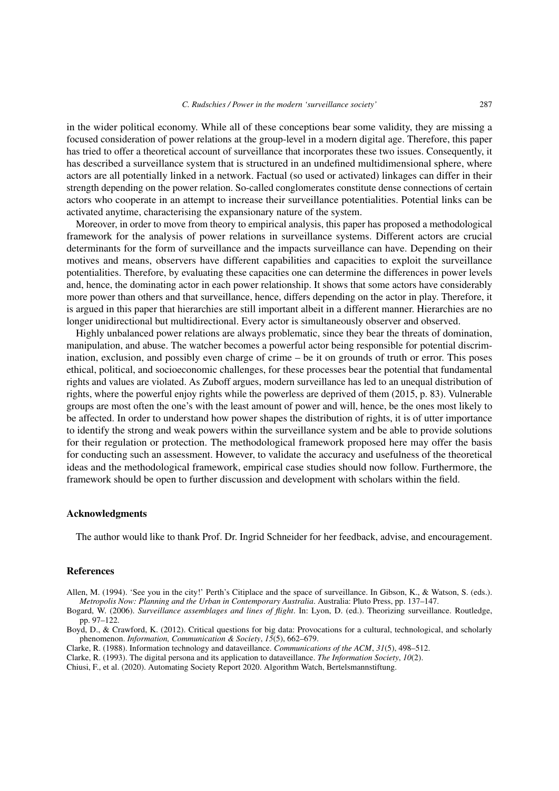in the wider political economy. While all of these conceptions bear some validity, they are missing a focused consideration of power relations at the group-level in a modern digital age. Therefore, this paper has tried to offer a theoretical account of surveillance that incorporates these two issues. Consequently, it has described a surveillance system that is structured in an undefined multidimensional sphere, where actors are all potentially linked in a network. Factual (so used or activated) linkages can differ in their strength depending on the power relation. So-called conglomerates constitute dense connections of certain actors who cooperate in an attempt to increase their surveillance potentialities. Potential links can be activated anytime, characterising the expansionary nature of the system.

Moreover, in order to move from theory to empirical analysis, this paper has proposed a methodological framework for the analysis of power relations in surveillance systems. Different actors are crucial determinants for the form of surveillance and the impacts surveillance can have. Depending on their motives and means, observers have different capabilities and capacities to exploit the surveillance potentialities. Therefore, by evaluating these capacities one can determine the differences in power levels and, hence, the dominating actor in each power relationship. It shows that some actors have considerably more power than others and that surveillance, hence, differs depending on the actor in play. Therefore, it is argued in this paper that hierarchies are still important albeit in a different manner. Hierarchies are no longer unidirectional but multidirectional. Every actor is simultaneously observer and observed.

Highly unbalanced power relations are always problematic, since they bear the threats of domination, manipulation, and abuse. The watcher becomes a powerful actor being responsible for potential discrimination, exclusion, and possibly even charge of crime – be it on grounds of truth or error. This poses ethical, political, and socioeconomic challenges, for these processes bear the potential that fundamental rights and values are violated. As Zuboff argues, modern surveillance has led to an unequal distribution of rights, where the powerful enjoy rights while the powerless are deprived of them (2015, p. 83). Vulnerable groups are most often the one's with the least amount of power and will, hence, be the ones most likely to be affected. In order to understand how power shapes the distribution of rights, it is of utter importance to identify the strong and weak powers within the surveillance system and be able to provide solutions for their regulation or protection. The methodological framework proposed here may offer the basis for conducting such an assessment. However, to validate the accuracy and usefulness of the theoretical ideas and the methodological framework, empirical case studies should now follow. Furthermore, the framework should be open to further discussion and development with scholars within the field.

## Acknowledgments

The author would like to thank Prof. Dr. Ingrid Schneider for her feedback, advise, and encouragement.

#### References

Allen, M. (1994). 'See you in the city!' Perth's Citiplace and the space of surveillance. In Gibson, K., & Watson, S. (eds.). *Metropolis Now: Planning and the Urban in Contemporary Australia*. Australia: Pluto Press, pp. 137–147.

Bogard, W. (2006). *Surveillance assemblages and lines of flight*. In: Lyon, D. (ed.). Theorizing surveillance. Routledge, pp. 97–122.

Boyd, D., & Crawford, K. (2012). Critical questions for big data: Provocations for a cultural, technological, and scholarly phenomenon. *Information, Communication & Society*, *15*(5), 662–679.

Clarke, R. (1988). Information technology and dataveillance. *Communications of the ACM*, *31*(5), 498–512.

Clarke, R. (1993). The digital persona and its application to dataveillance. *The Information Society*, *10*(2).

Chiusi, F., et al. (2020). Automating Society Report 2020. Algorithm Watch, Bertelsmannstiftung.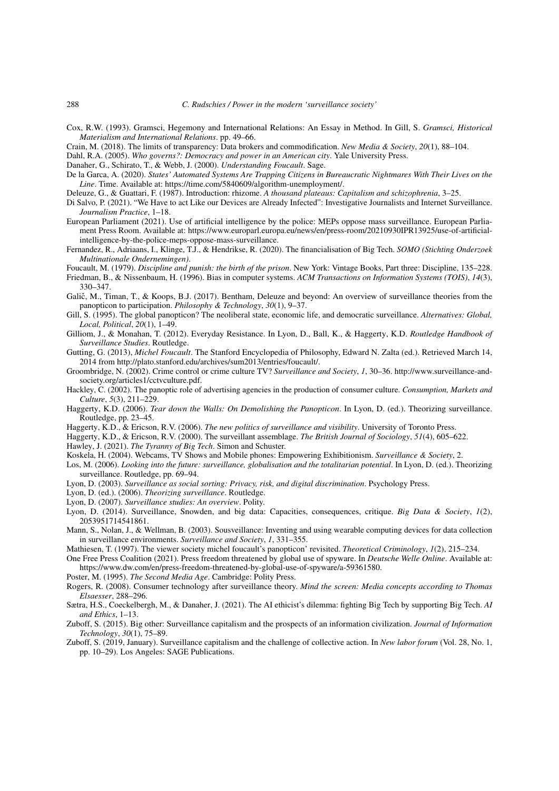- Cox, R.W. (1993). Gramsci, Hegemony and International Relations: An Essay in Method. In Gill, S. *Gramsci, Historical Materialism and International Relations*. pp. 49–66.
- Crain, M. (2018). The limits of transparency: Data brokers and commodification. *New Media & Society*, *20*(1), 88–104.

Dahl, R.A. (2005). *Who governs?: Democracy and power in an American city*. Yale University Press.

Danaher, G., Schirato, T., & Webb, J. (2000). *Understanding Foucault*. Sage.

- De la Garca, A. (2020). *States' Automated Systems Are Trapping Citizens in Bureaucratic Nightmares With Their Lives on the Line*. Time. Available at: https://time.com/5840609/algorithm-unemployment/.
- Deleuze, G., & Guattari, F. (1987). Introduction: rhizome. *A thousand plateaus: Capitalism and schizophrenia*, 3–25.
- Di Salvo, P. (2021). "We Have to act Like our Devices are Already Infected": Investigative Journalists and Internet Surveillance. *Journalism Practice*, 1–18.
- European Parliament (2021). Use of artificial intelligence by the police: MEPs oppose mass surveillance. European Parliament Press Room. Available at: https://www.europarl.europa.eu/news/en/press-room/20210930IPR13925/use-of-artificialintelligence-by-the-police-meps-oppose-mass-surveillance.
- Fernandez, R., Adriaans, I., Klinge, T.J., & Hendrikse, R. (2020). The financialisation of Big Tech. *SOMO (Stichting Onderzoek Multinationale Ondernemingen)*.
- Foucault, M. (1979). *Discipline and punish: the birth of the prison*. New York: Vintage Books, Part three: Discipline, 135–228.
- Friedman, B., & Nissenbaum, H. (1996). Bias in computer systems. *ACM Transactions on Information Systems (TOIS)*, *14*(3), 330–347.
- Galič, M., Timan, T., & Koops, B.J. (2017). Bentham, Deleuze and beyond: An overview of surveillance theories from the panopticon to participation. *Philosophy & Technology*, *30*(1), 9–37.
- Gill, S. (1995). The global panopticon? The neoliberal state, economic life, and democratic surveillance. *Alternatives: Global, Local, Political*, *20*(1), 1–49.
- Gilliom, J., & Monahan, T. (2012). Everyday Resistance. In Lyon, D., Ball, K., & Haggerty, K.D. *Routledge Handbook of Surveillance Studies*. Routledge.
- Gutting, G. (2013), *Michel Foucault*. The Stanford Encyclopedia of Philosophy, Edward N. Zalta (ed.). Retrieved March 14, 2014 from http://plato.stanford.edu/archives/sum2013/entries/foucault/.
- Groombridge, N. (2002). Crime control or crime culture TV? *Surveillance and Society*, *1*, 30–36. http://www.surveillance-andsociety.org/articles1/cctvculture.pdf.
- Hackley, C. (2002). The panoptic role of advertising agencies in the production of consumer culture. *Consumption, Markets and Culture*, *5*(3), 211–229.
- Haggerty, K.D. (2006). *Tear down the Walls: On Demolishing the Panopticon*. In Lyon, D. (ed.). Theorizing surveillance. Routledge, pp. 23–45.
- Haggerty, K.D., & Ericson, R.V. (2006). *The new politics of surveillance and visibility*. University of Toronto Press.
- Haggerty, K.D., & Ericson, R.V. (2000). The surveillant assemblage. *The British Journal of Sociology*, *51*(4), 605–622.
- Hawley, J. (2021). *The Tyranny of Big Tech*. Simon and Schuster.
- Koskela, H. (2004). Webcams, TV Shows and Mobile phones: Empowering Exhibitionism. *Surveillance & Society*, 2.
- Los, M. (2006). *Looking into the future: surveillance, globalisation and the totalitarian potential*. In Lyon, D. (ed.). Theorizing surveillance. Routledge, pp. 69–94.
- Lyon, D. (2003). *Surveillance as social sorting: Privacy, risk, and digital discrimination*. Psychology Press.
- Lyon, D. (ed.). (2006). *Theorizing surveillance*. Routledge.
- Lyon, D. (2007). *Surveillance studies: An overview*. Polity.
- Lyon, D. (2014). Surveillance, Snowden, and big data: Capacities, consequences, critique. *Big Data & Society*, *1*(2), 2053951714541861.
- Mann, S., Nolan, J., & Wellman, B. (2003). Sousveillance: Inventing and using wearable computing devices for data collection in surveillance environments. *Surveillance and Society*, *1*, 331–355.
- Mathiesen, T. (1997). The viewer society michel foucault's panopticon' revisited. *Theoretical Criminology*, *1*(2), 215–234.
- One Free Press Coalition (2021). Press freedom threatened by global use of spyware. In *Deutsche Welle Online*. Available at: https://www.dw.com/en/press-freedom-threatened-by-global-use-of-spyware/a-59361580.
- Poster, M. (1995). *The Second Media Age*. Cambridge: Polity Press.
- Rogers, R. (2008). Consumer technology after surveillance theory. *Mind the screen: Media concepts according to Thomas Elsaesser*, 288–296.
- Sætra, H.S., Coeckelbergh, M., & Danaher, J. (2021). The AI ethicist's dilemma: fighting Big Tech by supporting Big Tech. *AI and Ethics*, 1–13.
- Zuboff, S. (2015). Big other: Surveillance capitalism and the prospects of an information civilization. *Journal of Information Technology*, *30*(1), 75–89.
- Zuboff, S. (2019, January). Surveillance capitalism and the challenge of collective action. In *New labor forum* (Vol. 28, No. 1, pp. 10–29). Los Angeles: SAGE Publications.